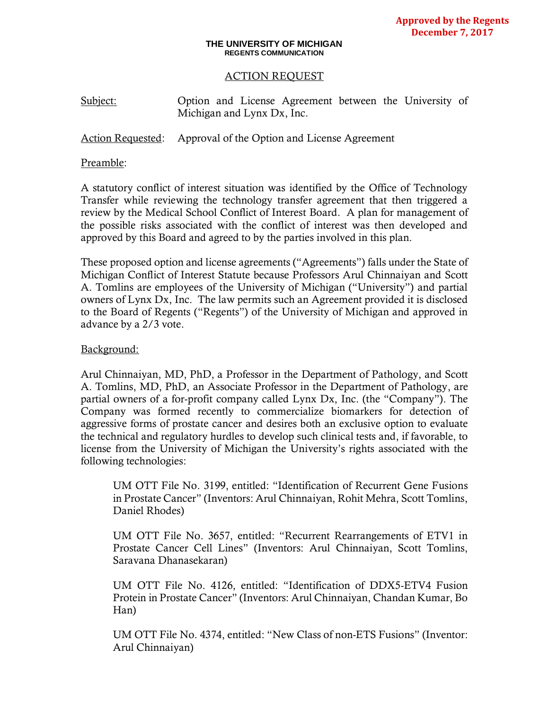#### **THE UNIVERSITY OF MICHIGAN REGENTS COMMUNICATION**

### ACTION REQUEST

| Subject: |                            |  |  | Option and License Agreement between the University of |  |  |
|----------|----------------------------|--|--|--------------------------------------------------------|--|--|
|          | Michigan and Lynx Dx, Inc. |  |  |                                                        |  |  |

Action Requested: Approval of the Option and License Agreement

#### Preamble:

A statutory conflict of interest situation was identified by the Office of Technology Transfer while reviewing the technology transfer agreement that then triggered a review by the Medical School Conflict of Interest Board. A plan for management of the possible risks associated with the conflict of interest was then developed and approved by this Board and agreed to by the parties involved in this plan.

These proposed option and license agreements ("Agreements") falls under the State of Michigan Conflict of Interest Statute because Professors Arul Chinnaiyan and Scott A. Tomlins are employees of the University of Michigan ("University") and partial owners of Lynx Dx, Inc. The law permits such an Agreement provided it is disclosed to the Board of Regents ("Regents") of the University of Michigan and approved in advance by a 2/3 vote.

## Background:

Arul Chinnaiyan, MD, PhD, a Professor in the Department of Pathology, and Scott A. Tomlins, MD, PhD, an Associate Professor in the Department of Pathology, are partial owners of a for-profit company called Lynx Dx, Inc. (the "Company"). The Company was formed recently to commercialize biomarkers for detection of aggressive forms of prostate cancer and desires both an exclusive option to evaluate the technical and regulatory hurdles to develop such clinical tests and, if favorable, to license from the University of Michigan the University's rights associated with the following technologies:

UM OTT File No. 3199, entitled: "Identification of Recurrent Gene Fusions in Prostate Cancer" (Inventors: Arul Chinnaiyan, Rohit Mehra, Scott Tomlins, Daniel Rhodes)

UM OTT File No. 3657, entitled: "Recurrent Rearrangements of ETV1 in Prostate Cancer Cell Lines" (Inventors: Arul Chinnaiyan, Scott Tomlins, Saravana Dhanasekaran)

UM OTT File No. 4126, entitled: "Identification of DDX5-ETV4 Fusion Protein in Prostate Cancer" (Inventors: Arul Chinnaiyan, Chandan Kumar, Bo Han)

UM OTT File No. 4374, entitled: "New Class of non-ETS Fusions" (Inventor: Arul Chinnaiyan)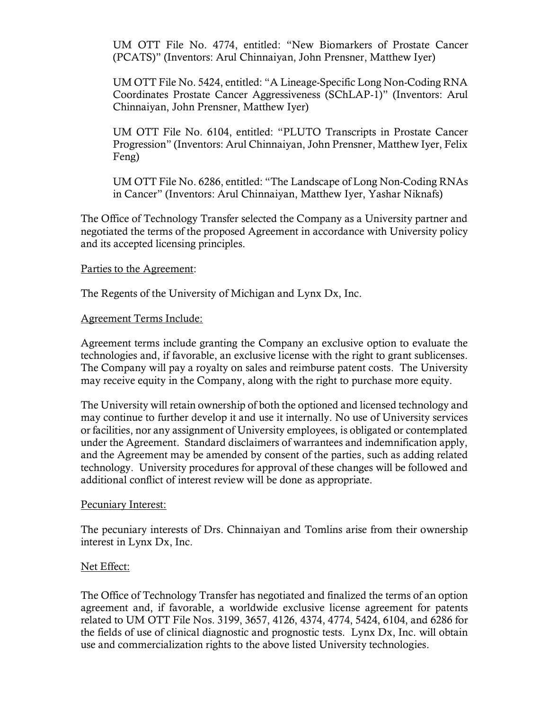UM OTT File No. 4774, entitled: "New Biomarkers of Prostate Cancer (PCATS)" (Inventors: Arul Chinnaiyan, John Prensner, Matthew Iyer)

UM OTT File No. 5424, entitled: "A Lineage-Specific Long Non-Coding RNA Coordinates Prostate Cancer Aggressiveness (SChLAP-1)" (Inventors: Arul Chinnaiyan, John Prensner, Matthew Iyer)

UM OTT File No. 6104, entitled: "PLUTO Transcripts in Prostate Cancer Progression" (Inventors: Arul Chinnaiyan, John Prensner, Matthew Iyer, Felix Feng)

UM OTT File No. 6286, entitled: "The Landscape of Long Non-Coding RNAs in Cancer" (Inventors: Arul Chinnaiyan, Matthew Iyer, Yashar Niknafs)

The Office of Technology Transfer selected the Company as a University partner and negotiated the terms of the proposed Agreement in accordance with University policy and its accepted licensing principles.

## Parties to the Agreement:

The Regents of the University of Michigan and Lynx Dx, Inc.

# Agreement Terms Include:

Agreement terms include granting the Company an exclusive option to evaluate the technologies and, if favorable, an exclusive license with the right to grant sublicenses. The Company will pay a royalty on sales and reimburse patent costs. The University may receive equity in the Company, along with the right to purchase more equity.

The University will retain ownership of both the optioned and licensed technology and may continue to further develop it and use it internally. No use of University services or facilities, nor any assignment of University employees, is obligated or contemplated under the Agreement. Standard disclaimers of warrantees and indemnification apply, and the Agreement may be amended by consent of the parties, such as adding related technology. University procedures for approval of these changes will be followed and additional conflict of interest review will be done as appropriate.

## Pecuniary Interest:

The pecuniary interests of Drs. Chinnaiyan and Tomlins arise from their ownership interest in Lynx Dx, Inc.

# Net Effect:

The Office of Technology Transfer has negotiated and finalized the terms of an option agreement and, if favorable, a worldwide exclusive license agreement for patents related to UM OTT File Nos. 3199, 3657, 4126, 4374, 4774, 5424, 6104, and 6286 for the fields of use of clinical diagnostic and prognostic tests. Lynx Dx, Inc. will obtain use and commercialization rights to the above listed University technologies.